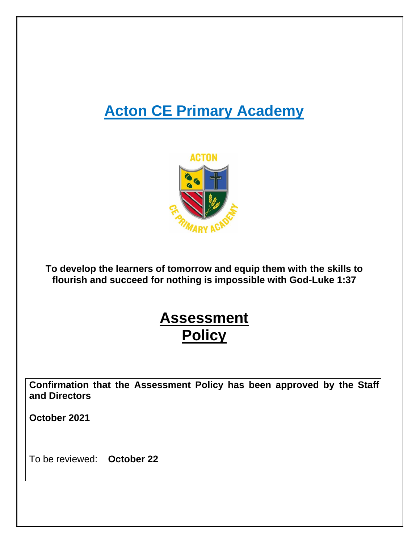# **Acton CE Primary Academy**



**To develop the learners of tomorrow and equip them with the skills to flourish and succeed for nothing is impossible with God-Luke 1:37**

# **Assessment Policy**

**Confirmation that the Assessment Policy has been approved by the Staff and Directors**

**October 2021**

To be reviewed: **October 22**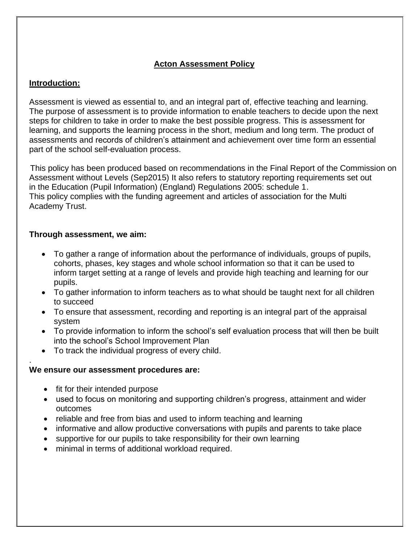# **Acton Assessment Policy**

## **Introduction:**

Assessment is viewed as essential to, and an integral part of, effective teaching and learning. The purpose of assessment is to provide information to enable teachers to decide upon the next steps for children to take in order to make the best possible progress. This is assessment for learning, and supports the learning process in the short, medium and long term. The product of assessments and records of children's attainment and achievement over time form an essential part of the school self-evaluation process.

 This policy has been produced based on recommendations in the Final Report of the Commission on Assessment without Levels (Sep2015) It also refers to statutory reporting requirements set out in [the Education \(Pupil Information\) \(England\) Regulations 2005: schedule 1.](http://www.legislation.gov.uk/uksi/2005/1437/schedule/1/made) This policy complies with the funding agreement and articles of association for the Multi Academy Trust.

#### **Through assessment, we aim:**

- To gather a range of information about the performance of individuals, groups of pupils, cohorts, phases, key stages and whole school information so that it can be used to inform target setting at a range of levels and provide high teaching and learning for our pupils.
- To gather information to inform teachers as to what should be taught next for all children to succeed
- To ensure that assessment, recording and reporting is an integral part of the appraisal system
- To provide information to inform the school's self evaluation process that will then be built into the school's School Improvement Plan
- To track the individual progress of every child.

#### . **We ensure our assessment procedures are:**

- fit for their intended purpose
- used to focus on monitoring and supporting children's progress, attainment and wider outcomes
- reliable and free from bias and used to inform teaching and learning
- informative and allow productive conversations with pupils and parents to take place
- supportive for our pupils to take responsibility for their own learning
- minimal in terms of additional workload required.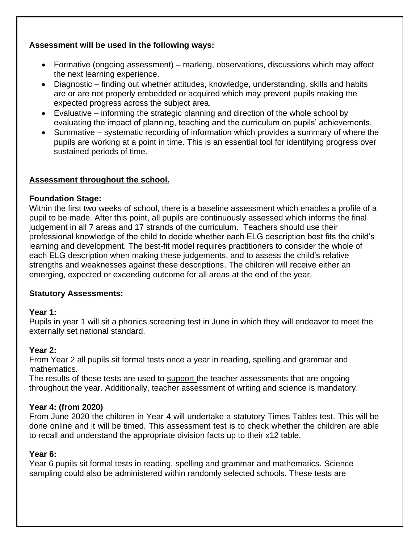# **Assessment will be used in the following ways:**

- Formative (ongoing assessment) marking, observations, discussions which may affect the next learning experience.
- Diagnostic finding out whether attitudes, knowledge, understanding, skills and habits are or are not properly embedded or acquired which may prevent pupils making the expected progress across the subject area.
- Evaluative informing the strategic planning and direction of the whole school by evaluating the impact of planning, teaching and the curriculum on pupils' achievements.
- Summative systematic recording of information which provides a summary of where the pupils are working at a point in time. This is an essential tool for identifying progress over sustained periods of time.

#### **Assessment throughout the school.**

#### **Foundation Stage:**

Within the first two weeks of school, there is a baseline assessment which enables a profile of a pupil to be made. After this point, all pupils are continuously assessed which informs the final judgement in all 7 areas and 17 strands of the curriculum. Teachers should use their professional knowledge of the child to decide whether each ELG description best fits the child's learning and development. The best-fit model requires practitioners to consider the whole of each ELG description when making these judgements, and to assess the child's relative strengths and weaknesses against these descriptions. The children will receive either an emerging, expected or exceeding outcome for all areas at the end of the year.

#### **Statutory Assessments:**

#### **Year 1:**

Pupils in year 1 will sit a phonics screening test in June in which they will endeavor to meet the externally set national standard.

#### **Year 2:**

From Year 2 all pupils sit formal tests once a year in reading, spelling and grammar and mathematics.

The results of these tests are used to support the teacher assessments that are ongoing throughout the year. Additionally, teacher assessment of writing and science is mandatory.

#### **Year 4: (from 2020)**

From June 2020 the children in Year 4 will undertake a statutory Times Tables test. This will be done online and it will be timed. This assessment test is to check whether the children are able to recall and understand the appropriate division facts up to their x12 table.

#### **Year 6:**

Year 6 pupils sit formal tests in reading, spelling and grammar and mathematics. Science sampling could also be administered within randomly selected schools. These tests are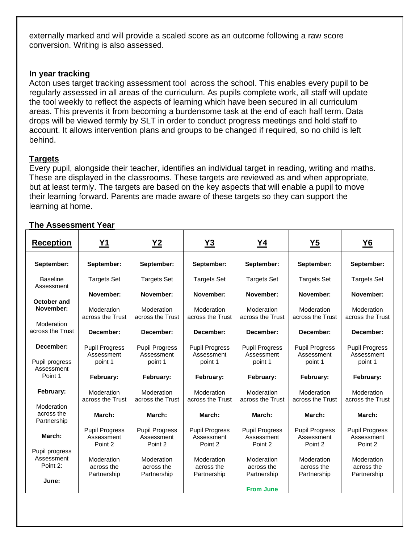externally marked and will provide a scaled score as an outcome following a raw score conversion. Writing is also assessed.

#### **In year tracking**

Acton uses target tracking assessment tool across the school. This enables every pupil to be regularly assessed in all areas of the curriculum. As pupils complete work, all staff will update the tool weekly to reflect the aspects of learning which have been secured in all curriculum areas. This prevents it from becoming a burdensome task at the end of each half term. Data drops will be viewed termly by SLT in order to conduct progress meetings and hold staff to account. It allows intervention plans and groups to be changed if required, so no child is left behind.

#### **Targets**

Every pupil, alongside their teacher, identifies an individual target in reading, writing and maths. These are displayed in the classrooms. These targets are reviewed as and when appropriate, but at least termly. The targets are based on the key aspects that will enable a pupil to move their learning forward. Parents are made aware of these targets so they can support the learning at home.

| <b>Reception</b>                         | <b>Y1</b>                                      | <u>Y2</u>                                      | <u>Y3</u>                                      | <u>Y4</u>                                      | $Y5$                                           | <u>Y6</u>                                      |
|------------------------------------------|------------------------------------------------|------------------------------------------------|------------------------------------------------|------------------------------------------------|------------------------------------------------|------------------------------------------------|
| September:                               | September:                                     | September:                                     | September:                                     | September:                                     | September:                                     | September:                                     |
| <b>Baseline</b><br>Assessment            | <b>Targets Set</b>                             | <b>Targets Set</b>                             | <b>Targets Set</b>                             | <b>Targets Set</b>                             | <b>Targets Set</b>                             | <b>Targets Set</b>                             |
|                                          | November:                                      | November:                                      | November:                                      | November:                                      | November:                                      | November:                                      |
| October and<br>November:<br>Moderation   | Moderation<br>across the Trust                 | Moderation<br>across the Trust                 | Moderation<br>across the Trust                 | Moderation<br>across the Trust                 | Moderation<br>across the Trust                 | Moderation<br>across the Trust                 |
| across the Trust                         | December:                                      | December:                                      | December:                                      | December:                                      | December:                                      | December:                                      |
| December:                                | <b>Pupil Progress</b><br>Assessment            | <b>Pupil Progress</b><br>Assessment            | <b>Pupil Progress</b><br>Assessment            | <b>Pupil Progress</b><br>Assessment            | <b>Pupil Progress</b><br>Assessment            | <b>Pupil Progress</b><br>Assessment            |
| Pupil progress<br>Assessment<br>Point 1  | point 1<br>February:                           | point 1<br>February:                           | point 1<br>February:                           | point 1<br>February:                           | point 1<br>February:                           | point 1<br>February:                           |
| February:                                | Moderation<br>across the Trust                 | Moderation<br>across the Trust                 | Moderation<br>across the Trust                 | Moderation<br>across the Trust                 | Moderation<br>across the Trust                 | Moderation<br>across the Trust                 |
| Moderation<br>across the<br>Partnership  | March:                                         | March:                                         | March:                                         | March:                                         | March:                                         | March:                                         |
| March:                                   | <b>Pupil Progress</b><br>Assessment<br>Point 2 | <b>Pupil Progress</b><br>Assessment<br>Point 2 | <b>Pupil Progress</b><br>Assessment<br>Point 2 | <b>Pupil Progress</b><br>Assessment<br>Point 2 | <b>Pupil Progress</b><br>Assessment<br>Point 2 | <b>Pupil Progress</b><br>Assessment<br>Point 2 |
| Pupil progress<br>Assessment<br>Point 2: | Moderation<br>across the<br>Partnership        | Moderation<br>across the<br>Partnership        | Moderation<br>across the<br>Partnership        | Moderation<br>across the<br>Partnership        | Moderation<br>across the<br>Partnership        | Moderation<br>across the<br>Partnership        |
| June:                                    |                                                |                                                |                                                | <b>From June</b>                               |                                                |                                                |

#### **The Assessment Year**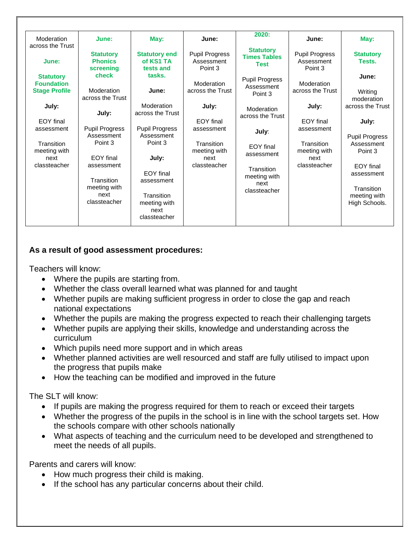| Moderation<br>across the Trust                                | June:                                              | May:                                                             | June:                                              | 2020:                                           | June:                                              | May:                                                        |
|---------------------------------------------------------------|----------------------------------------------------|------------------------------------------------------------------|----------------------------------------------------|-------------------------------------------------|----------------------------------------------------|-------------------------------------------------------------|
| June:                                                         | <b>Statutory</b><br><b>Phonics</b><br>screening    | <b>Statutory end</b><br>of KS1 TA<br>tests and                   | <b>Pupil Progress</b><br>Assessment<br>Point 3     | <b>Statutory</b><br><b>Times Tables</b><br>Test | <b>Pupil Progress</b><br>Assessment<br>Point 3     | <b>Statutory</b><br>Tests.                                  |
| <b>Statutory</b><br><b>Foundation</b><br><b>Stage Profile</b> | check<br>Moderation<br>across the Trust            | tasks.<br>June:                                                  | Moderation<br>across the Trust                     | <b>Pupil Progress</b><br>Assessment<br>Point 3  | Moderation<br>across the Trust                     | June:<br>Writing<br>moderation                              |
| July:                                                         | July:                                              | Moderation<br>across the Trust                                   | July:                                              | Moderation<br>across the Trust                  | July:                                              | across the Trust                                            |
| <b>EOY</b> final                                              |                                                    |                                                                  | EOY final                                          |                                                 | <b>EOY</b> final                                   | July:                                                       |
| assessment                                                    | Pupil Progress<br>Assessment                       | <b>Pupil Progress</b><br>Assessment                              | assessment                                         | July:                                           | assessment                                         |                                                             |
| Transition<br>meeting with<br>next<br>classteacher            | Point 3<br>EOY final<br>assessment                 | Point 3<br>July:<br>EOY final                                    | Transition<br>meeting with<br>next<br>classteacher | EOY final<br>assessment<br>Transition           | Transition<br>meeting with<br>next<br>classteacher | <b>Pupil Progress</b><br>Assessment<br>Point 3<br>EOY final |
|                                                               | Transition<br>meeting with<br>next<br>classteacher | assessment<br>Transition<br>meeting with<br>next<br>classteacher |                                                    | meeting with<br>next<br>classteacher            |                                                    | assessment<br>Transition<br>meeting with<br>High Schools.   |

#### **As a result of good assessment procedures:**

Teachers will know:

- Where the pupils are starting from.
- Whether the class overall learned what was planned for and taught
- Whether pupils are making sufficient progress in order to close the gap and reach national expectations
- Whether the pupils are making the progress expected to reach their challenging targets
- Whether pupils are applying their skills, knowledge and understanding across the curriculum
- Which pupils need more support and in which areas
- Whether planned activities are well resourced and staff are fully utilised to impact upon the progress that pupils make
- How the teaching can be modified and improved in the future

The SLT will know:

- If pupils are making the progress required for them to reach or exceed their targets
- Whether the progress of the pupils in the school is in line with the school targets set. How the schools compare with other schools nationally
- What aspects of teaching and the curriculum need to be developed and strengthened to meet the needs of all pupils.

Parents and carers will know:

- How much progress their child is making.
- If the school has any particular concerns about their child.